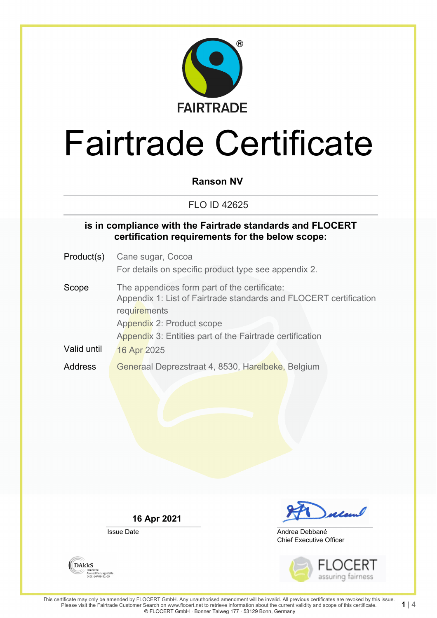

### **Ranson NV**

### FLO ID 42625

### **is in compliance with the Fairtrade standards and FLOCERT certification requirements for the below scope:**

Product(s) Cane sugar, Cocoa For details on specific product type see appendix 2. Scope The appendices form part of the certificate: Appendix 1: List of Fairtrade standards and FLOCERT certification **requirements** Appendix 2: Product scope Appendix 3: Entities part of the Fairtrade certification Valid until 16 Apr 2025

Address Generaal Deprezstraat 4, 8530, Harelbeke, Belgium

**16 Apr 2021**

Issue Date



Chief Executive Officer Andrea Debbané



**1** | 4

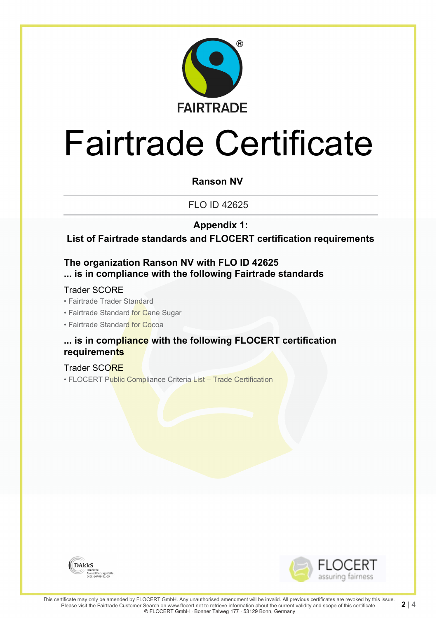

### **Ranson NV**

FLO ID 42625

**Appendix 1:**

**List of Fairtrade standards and FLOCERT certification requirements**

### **The organization Ranson NV with FLO ID 42625 ... is in compliance with the following Fairtrade standards**

### Trader SCORE

• Fairtrade Trader Standard

- Fairtrade Standard for Cane Sugar
- Fairtrade Standard for Cocoa

### **... is in compliance with the following FLOCERT certification requirements**

#### Trader SCORE

• FLOCERT Public Compliance Criteria List – Trade Certification



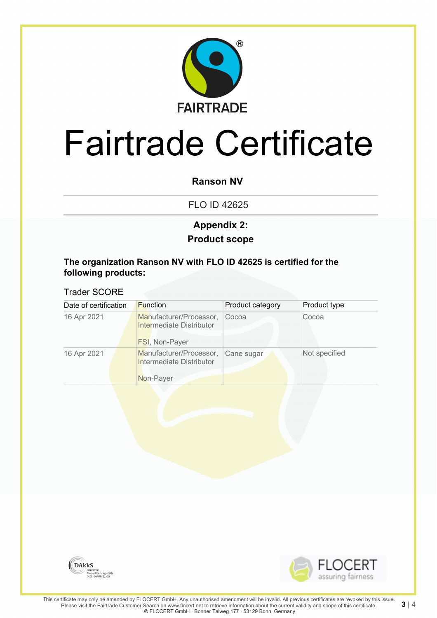

### **Ranson NV**

FLO ID 42625

## **Product scope Appendix 2:**

#### **The organization Ranson NV with FLO ID 42625 is certified for the following products:**

#### Trader SCORE

| Date of certification |  | <b>Function</b>                                     | Product category | Product type  |
|-----------------------|--|-----------------------------------------------------|------------------|---------------|
| 16 Apr 2021           |  | Manufacturer/Processor,<br>Intermediate Distributor | Cocoa            | Cocoa         |
|                       |  | <b>FSI, Non-Payer</b>                               |                  |               |
| 16 Apr 2021           |  | Manufacturer/Processor,<br>Intermediate Distributor | Cane sugar       | Not specified |
|                       |  | Non-Payer                                           |                  |               |